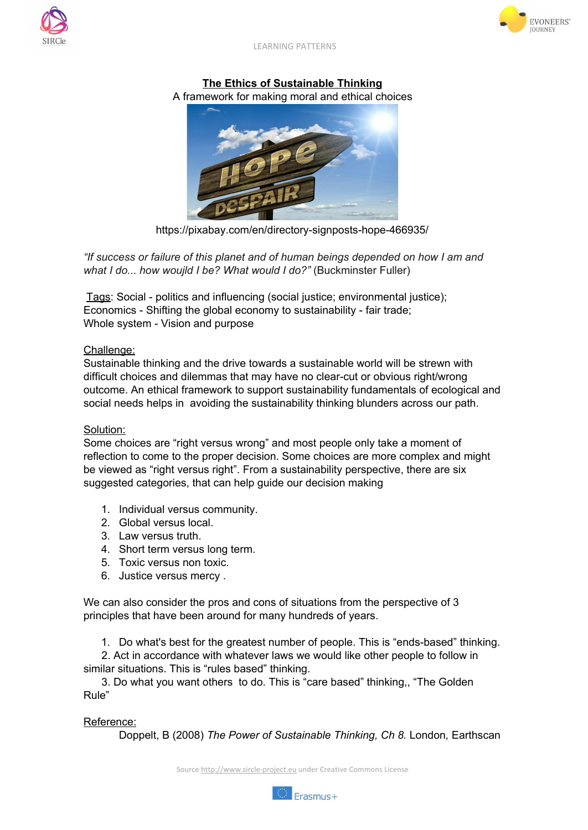



LEARNING PATTERNS

## **The Ethics of Sustainable Thinking**

A framework for making moral and ethical choices



https://pixabay.com/en/directory-signposts-hope-466935/

*"If success or failure of this planet and of human beings depended on how I am and what I do... how woujld I be? What would I do?"* (Buckminster Fuller)

Tags: Social - politics and influencing (social justice; environmental justice); Economics - Shifting the global economy to sustainability - fair trade; Whole system - Vision and purpose

## Challenge:

Sustainable thinking and the drive towards a sustainable world will be strewn with difficult choices and dilemmas that may have no clear-cut or obvious right/wrong outcome. An ethical framework to support sustainability fundamentals of ecological and social needs helps in avoiding the sustainability thinking blunders across our path.

## Solution:

Some choices are "right versus wrong" and most people only take a moment of reflection to come to the proper decision. Some choices are more complex and might be viewed as "right versus right". From a sustainability perspective, there are six suggested categories, that can help guide our decision making

- 1. Individual versus community.
- 2. Global versus local.
- 3. Law versus truth.
- 4. Short term versus long term.
- 5. Toxic versus non toxic.
- 6. Justice versus mercy .

We can also consider the pros and cons of situations from the perspective of 3 principles that have been around for many hundreds of years.

1. Do what's best for the greatest number of people. This is "ends-based" thinking.

2. Act in accordance with whatever laws we would like other people to follow in similar situations. This is "rules based" thinking.

3. Do what you want others to do. This is "care based" thinking,, "The Golden Rule"

## Reference:

Doppelt, B (2008) *The Power of Sustainable Thinking, Ch 8.* London*,* Earthscan

Source [http://www.sircle-project.eu](http://www.sircle-project.eu/) under Creative Commons License